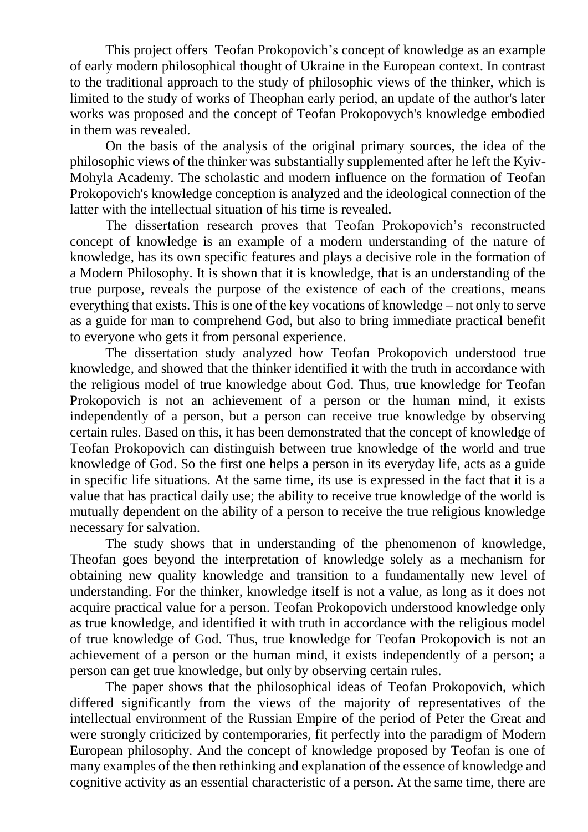This project offers Teofan Prokopovich's concept of knowledge as an example of early modern philosophical thought of Ukraine in the European context. In contrast to the traditional approach to the study of philosophic views of the thinker, which is limited to the study of works of Theophan early period, an update of the author's later works was proposed and the concept of Teofan Prokopovych's knowledge embodied in them was revealed.

On the basis of the analysis of the original primary sources, the idea of the philosophic views of the thinker was substantially supplemented after he left the Kyiv-Mohyla Academy. The scholastic and modern influence on the formation of Teofan Prokopovich's knowledge conception is analyzed and the ideological connection of the latter with the intellectual situation of his time is revealed.

The dissertation research proves that Teofan Prokopovich's reconstructed concept of knowledge is an example of a modern understanding of the nature of knowledge, has its own specific features and plays a decisive role in the formation of a Modern Philosophy. It is shown that it is knowledge, that is an understanding of the true purpose, reveals the purpose of the existence of each of the creations, means everything that exists. This is one of the key vocations of knowledge – not only to serve as a guide for man to comprehend God, but also to bring immediate practical benefit to everyone who gets it from personal experience.

The dissertation study analyzed how Teofan Prokopovich understood true knowledge, and showed that the thinker identified it with the truth in accordance with the religious model of true knowledge about God. Thus, true knowledge for Teofan Prokopovich is not an achievement of a person or the human mind, it exists independently of a person, but a person can receive true knowledge by observing certain rules. Based on this, it has been demonstrated that the concept of knowledge of Teofan Prokopovich can distinguish between true knowledge of the world and true knowledge of God. So the first one helps a person in its everyday life, acts as a guide in specific life situations. At the same time, its use is expressed in the fact that it is a value that has practical daily use; the ability to receive true knowledge of the world is mutually dependent on the ability of a person to receive the true religious knowledge necessary for salvation.

The study shows that in understanding of the phenomenon of knowledge, Theofan goes beyond the interpretation of knowledge solely as a mechanism for obtaining new quality knowledge and transition to a fundamentally new level of understanding. For the thinker, knowledge itself is not a value, as long as it does not acquire practical value for a person. Teofan Prokopovich understood knowledge only as true knowledge, and identified it with truth in accordance with the religious model of true knowledge of God. Thus, true knowledge for Teofan Prokopovich is not an achievement of a person or the human mind, it exists independently of a person; a person can get true knowledge, but only by observing certain rules.

The paper shows that the philosophical ideas of Teofan Prokopovich, which differed significantly from the views of the majority of representatives of the intellectual environment of the Russian Empire of the period of Peter the Great and were strongly criticized by contemporaries, fit perfectly into the paradigm of Modern European philosophy. And the concept of knowledge proposed by Teofan is one of many examples of the then rethinking and explanation of the essence of knowledge and cognitive activity as an essential characteristic of a person. At the same time, there are